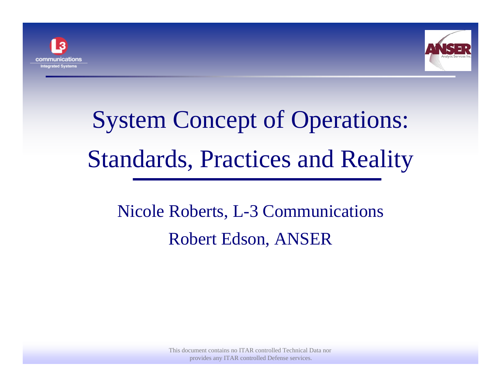



# System Concept of Operations: Standards, Practices and Reality

## Nicole Roberts, L-3 Communications Robert Edson, ANSER

This document contains no ITAR controlled Technical Data nor provides any ITAR controlled Defense services.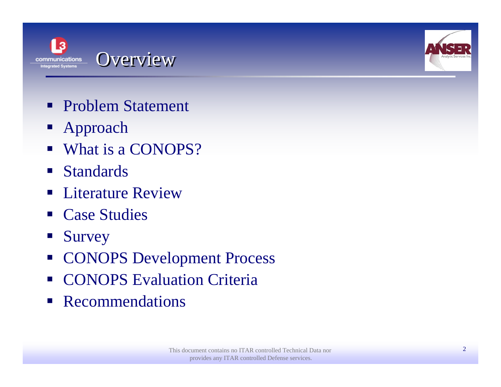



- **Problem Statement**
- Approach
- What is a CONOPS?
- Standards
- $\overline{\phantom{a}}$ Literature Review
- $\mathcal{L}_{\text{max}}$ Case Studies
- Survey
- **CONOPS Development Process**
- $\mathcal{L}(\mathcal{L})$ CONOPS Evaluation Criteria
- $\mathcal{L}_{\mathcal{A}}$ Recommendations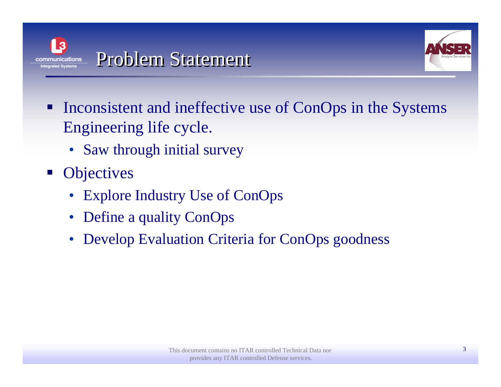



- **Inconsistent and ineffective use of ConOps in the Systems** Engineering life cycle.
	- Saw through initial survey
- **Objectives** 
	- $\bullet$ Explore Industry Use of ConOps
	- $\bullet$ Define a quality ConOps
	- $\bullet$ Develop Evaluation Criteria for ConOps goodness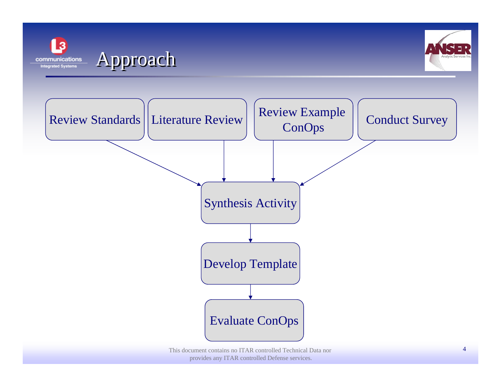





This document contains no ITAR controlled Technical Data nor provides any ITAR controlled Defense services.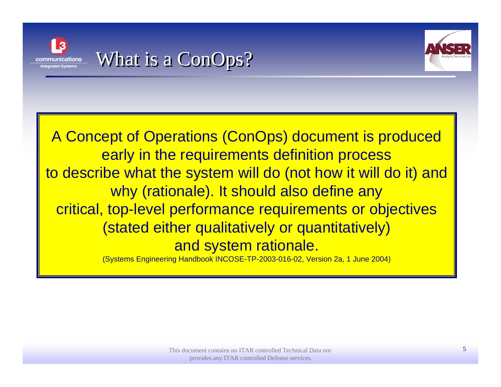

### What is a ConOps?



A Concept of Operations (ConOps) document is produced early in the requirements definition process to describe what the system will do (not how it will do it) and why (rationale). It should also define any critical, top-level performance requirements or objectives (stated either qualitatively or quantitatively) and system rationale.

(Systems Engineering Handbook INCOSE-TP-2003-016-02, Version 2a, 1 June 2004)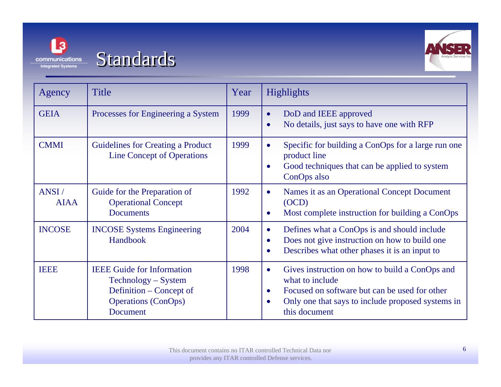



| Agency               | <b>Title</b>                                                                                                                  | Year | <b>Highlights</b>                                                                                                                                                                                                               |
|----------------------|-------------------------------------------------------------------------------------------------------------------------------|------|---------------------------------------------------------------------------------------------------------------------------------------------------------------------------------------------------------------------------------|
| <b>GEIA</b>          | Processes for Engineering a System                                                                                            | 1999 | DoD and IEEE approved<br>$\bullet$<br>No details, just says to have one with RFP<br>$\bullet$                                                                                                                                   |
| <b>CMMI</b>          | <b>Guidelines for Creating a Product</b><br><b>Line Concept of Operations</b>                                                 | 1999 | Specific for building a ConOps for a large run one<br>$\bullet$<br>product line<br>Good techniques that can be applied to system<br>$\bullet$<br>ConOps also                                                                    |
| ANSI/<br><b>AIAA</b> | Guide for the Preparation of<br><b>Operational Concept</b><br><b>Documents</b>                                                | 1992 | Names it as an Operational Concept Document<br>$\bullet$<br>(OCD)<br>Most complete instruction for building a ConOps<br>$\bullet$                                                                                               |
| <b>INCOSE</b>        | <b>INCOSE Systems Engineering</b><br>Handbook                                                                                 | 2004 | Defines what a ConOps is and should include<br>$\bullet$<br>Does not give instruction on how to build one<br>$\bullet$<br>Describes what other phases it is an input to<br>$\bullet$                                            |
| <b>IEEE</b>          | <b>IEEE</b> Guide for Information<br>Technology – System<br>Definition – Concept of<br><b>Operations (ConOps)</b><br>Document | 1998 | Gives instruction on how to build a ConOps and<br>$\bullet$<br>what to include<br>Focused on software but can be used for other<br>$\bullet$<br>Only one that says to include proposed systems in<br>$\bullet$<br>this document |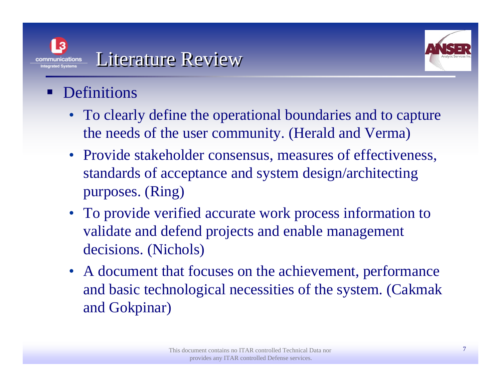



#### T. Definitions

- To clearly define the operational boundaries and to capture the needs of the user community. (Herald and Verma)
- Provide stakeholder consensus, measures of effectiveness, standards of acceptance and system design/architecting purposes. (Ring)
- To provide verified accurate work process information to validate and defend projects and enable management decisions. (Nichols)
- A document that focuses on the achievement, performance and basic technological necessities of the system. (Cakmak and Gokpinar)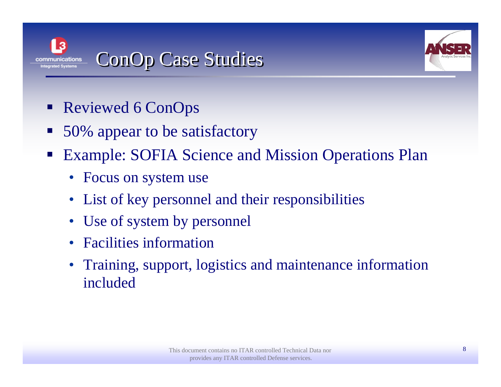

## ConOp Case Studies



- Reviewed 6 ConOps
- $\overline{\phantom{a}}$ 50% appear to be satisfactory
- Example: SOFIA Science and Mission Operations Plan
	- Focus on system use
	- •List of key personnel and their responsibilities
	- Use of system by personnel
	- •Facilities information
	- Training, support, logistics and maintenance information included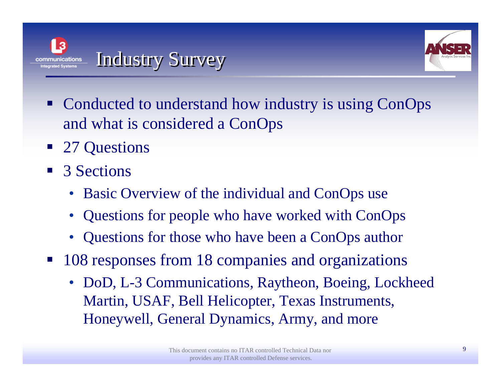



- Conducted to understand how industry is using ConOps and what is considered a ConOps
- 27 Questions
- 3 Sections
	- Basic Overview of the individual and ConOps use
	- •Questions for people who have worked with ConOps
	- •Questions for those who have been a ConOps author
- $\mathcal{L}_{\mathcal{A}}$  108 responses from 18 companies and organizations
	- DoD, L-3 Communications, Raytheon, Boeing, Lockheed Martin, USAF, Bell Helicopter, Texas Instruments, Honeywell, General Dynamics, Army, and more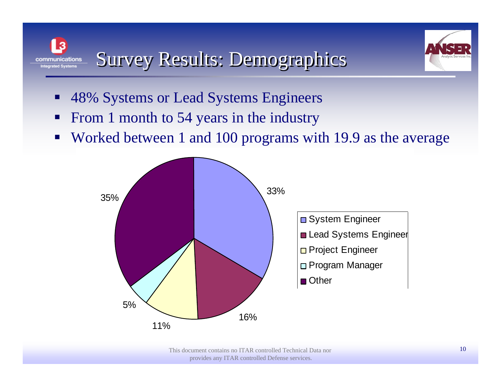



- $\mathcal{L}(\mathcal{L})$ 48% Systems or Lead Systems Engineers
- $\blacksquare$ From 1 month to 54 years in the industry
- $\blacksquare$ Worked between 1 and 100 programs with 19.9 as the average

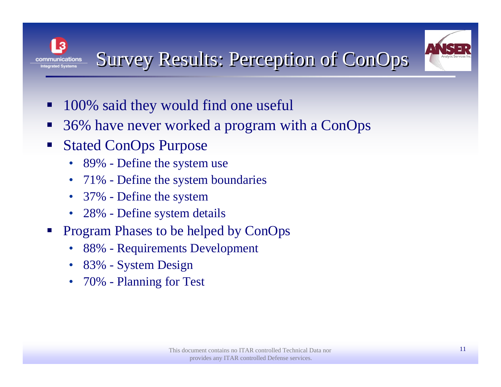



- **In** 100% said they would find one useful
- 36% have never worked a program with a ConOps
- $\mathcal{L}_{\mathcal{A}}$  Stated ConOps Purpose
	- 89% Define the system use
	- $\bullet$ 71% - Define the system boundaries
	- 37% Define the system
	- 28% Define system details
- $\mathbb{R}^3$  Program Phases to be helped by ConOps
	- •88% - Requirements Development
	- •83% - System Design
	- •70% - Planning for Test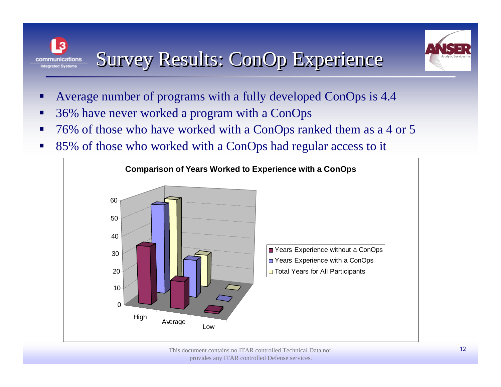

- Survey Results: ConOp Experience communications **Integrated Systems**
- Average number of programs with a fully developed ConOps is 4.4
- 36% have never worked a program with a ConOps
- 76% of those who have worked with a ConOps ranked them as a 4 or 5
- $\mathcal{L}(\mathcal{L})$ 85% of those who worked with a ConOps had regular access to it

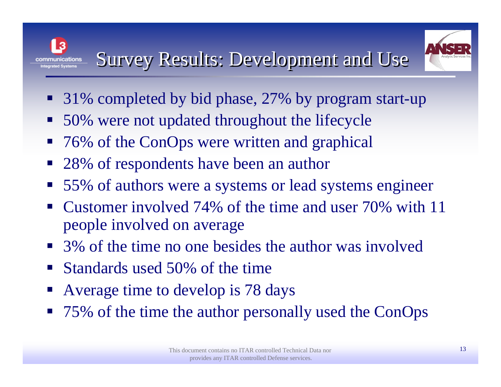## Survey Results: Development and Use



- 31% completed by bid phase, 27% by program start-up
- $\mathcal{L}_{\mathcal{A}}$ 50% were not updated throughout the lifecycle
- $\mathcal{L}_{\mathcal{A}}$ 76% of the ConOps were written and graphical
- 28% of respondents have been an author
- 55% of authors were a systems or lead systems engineer
- $\mathcal{L}_{\mathcal{A}}$  Customer involved 74% of the time and user 70% with 11 people involved on average
- 3% of the time no one besides the author was involved
- $\blacksquare$ Standards used 50% of the time
- $\mathcal{L}_{\mathcal{A}}$ Average time to develop is 78 days
- 75% of the time the author personally used the ConOps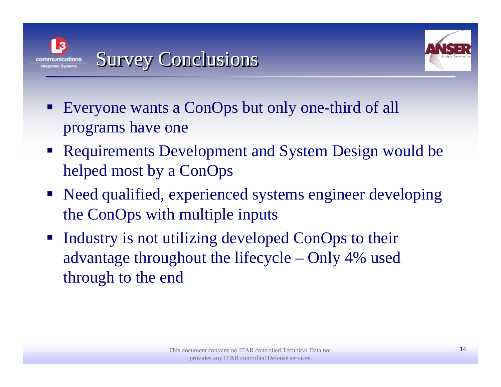



- Everyone wants a ConOps but only one-third of all programs have one
- Requirements Development and System Design would be helped most by a ConOps
- Need qualified, experienced systems engineer developing the ConOps with multiple inputs
- $\mathcal{L}_{\mathcal{A}}$  Industry is not utilizing developed ConOps to their advantage throughout the lifecycle – Only 4% used through to the end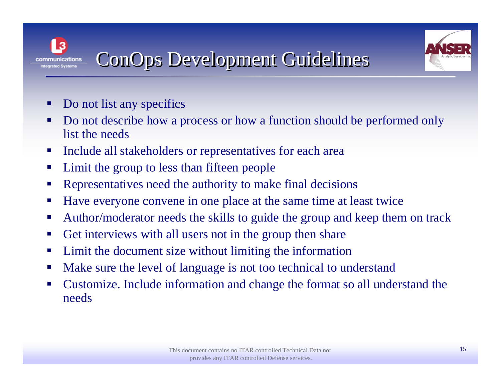

## ConOps Development Guidelines

- Do not list any specifics
- Do not describe how a process or how a function should be performed only list the needs
- $\blacksquare$ Include all stakeholders or representatives for each area
- $\blacksquare$ Limit the group to less than fifteen people
- Representatives need the authority to make final decisions
- $\mathcal{L}_{\mathcal{A}}$ Have everyone convene in one place at the same time at least twice
- $\mathcal{L}_{\mathcal{A}}$ Author/moderator needs the skills to guide the group and keep them on track
- $\blacksquare$ Get interviews with all users not in the group then share
- $\mathcal{L}_{\mathcal{A}}$ Limit the document size without limiting the information
- $\mathcal{L}_{\mathcal{A}}$ Make sure the level of language is not too technical to understand
- $\mathcal{L}_{\mathcal{A}}$  Customize. Include information and change the format so all understand the needs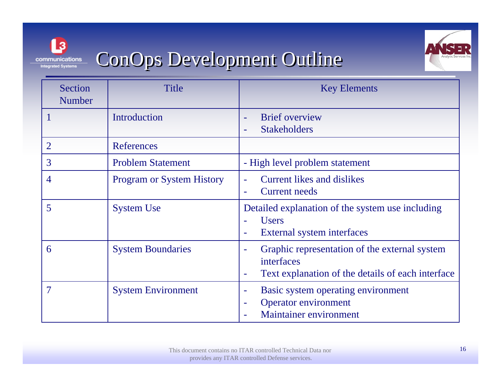

### ConOps Development Outline



| Section<br><b>Number</b> | Title                            | <b>Key Elements</b>                                                                                                                        |
|--------------------------|----------------------------------|--------------------------------------------------------------------------------------------------------------------------------------------|
|                          | Introduction                     | <b>Brief</b> overview<br>۰<br><b>Stakeholders</b>                                                                                          |
| $\overline{2}$           | References                       |                                                                                                                                            |
| 3                        | <b>Problem Statement</b>         | - High level problem statement                                                                                                             |
| 4                        | <b>Program or System History</b> | <b>Current likes and dislikes</b><br><b>Current needs</b><br>۰                                                                             |
| 5                        | <b>System Use</b>                | Detailed explanation of the system use including<br><b>Users</b><br>External system interfaces<br>$\equiv$                                 |
| 6                        | <b>System Boundaries</b>         | Graphic representation of the external system<br>$\equiv$<br>interfaces<br>Text explanation of the details of each interface<br>۰          |
| $\tau$                   | <b>System Environment</b>        | Basic system operating environment<br>$\equiv$<br><b>Operator environment</b><br>$\overline{\phantom{a}}$<br><b>Maintainer environment</b> |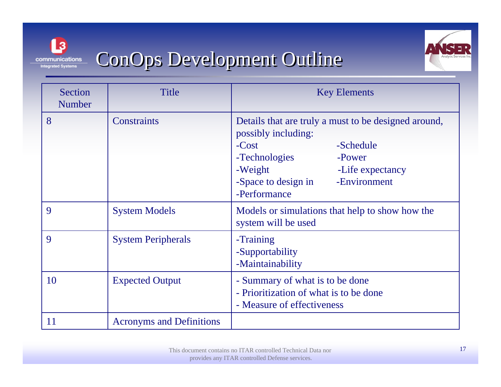

## ConOps Development Outline



| Section<br><b>Number</b> | Title                           | <b>Key Elements</b>                                                                                                                                                                                                  |
|--------------------------|---------------------------------|----------------------------------------------------------------------------------------------------------------------------------------------------------------------------------------------------------------------|
| 8                        | <b>Constraints</b>              | Details that are truly a must to be designed around,<br>possibly including:<br>-Schedule<br>$-Cost$<br>-Technologies<br>-Power<br>-Weight<br>-Life expectancy<br>-Environment<br>-Space to design in<br>-Performance |
| 9                        | <b>System Models</b>            | Models or simulations that help to show how the<br>system will be used                                                                                                                                               |
| 9                        | <b>System Peripherals</b>       | -Training<br>-Supportability<br>-Maintainability                                                                                                                                                                     |
| 10                       | <b>Expected Output</b>          | - Summary of what is to be done<br>- Prioritization of what is to be done<br>- Measure of effectiveness                                                                                                              |
| 11                       | <b>Acronyms and Definitions</b> |                                                                                                                                                                                                                      |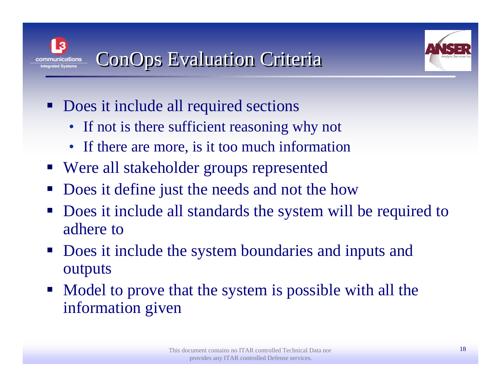



- Does it include all required sections
	- If not is there sufficient reasoning why not
	- If there are more, is it too much information
- Were all stakeholder groups represented
- Does it define just the needs and not the how
- Does it include all standards the system will be required to adhere to
- $\mathcal{L}(\mathcal{L})$  Does it include the system boundaries and inputs and outputs
- Model to prove that the system is possible with all the information given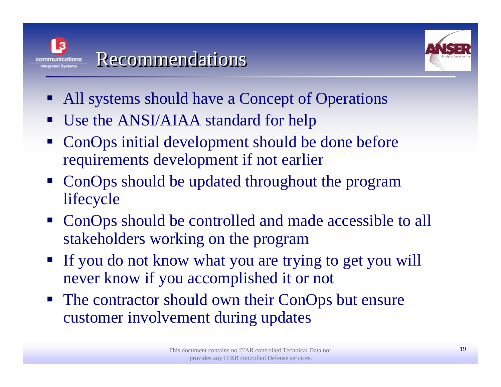



- All systems should have a Concept of Operations
- $\mathcal{L}(\mathcal{L})$ Use the ANSI/AIAA standard for help
- $\mathcal{L}(\mathcal{L})$  ConOps initial development should be done before requirements development if not earlier
- ConOps should be updated throughout the program lifecycle
- ConOps should be controlled and made accessible to all stakeholders working on the program
- If you do not know what you are trying to get you will never know if you accomplished it or not
- $\mathcal{L}_{\mathcal{A}}$  The contractor should own their ConOps but ensure customer involvement during updates